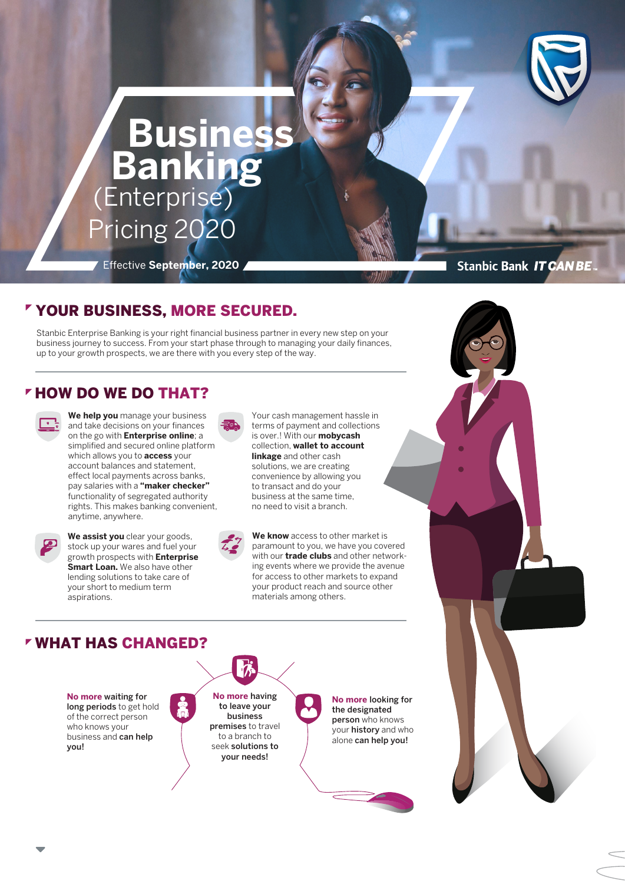

# **Business Banking** (Enterprise) Pricing 2020

Effective **September, 2020**

**Stanbic Bank IT CAN BE** 

# YOUR BUSINESS, MORE SECURED.

Stanbic Enterprise Banking is your right financial business partner in every new step on your business journey to success. From your start phase through to managing your daily finances, up to your growth prospects, we are there with you every step of the way.

# **FHOW DO WE DO THAT?**

**We help you** manage your business and take decisions on your finances on the go with **Enterprise online**; a simplified and secured online platform which allows you to **access** your account balances and statement, effect local payments across banks, pay salaries with a **"maker checker"**  functionality of segregated authority rights. This makes banking convenient, anytime, anywhere.



We assist you clear your goods, stock up your wares and fuel your growth prospects with **Enterprise Smart Loan.** We also have other lending solutions to take care of your short to medium term aspirations.

Your cash management hassle in terms of payment and collections is over.! With our **mobycash**  collection, **wallet to account linkage** and other cash solutions, we are creating convenience by allowing you to transact and do your business at the same time, no need to visit a branch.



**We know** access to other market is paramount to you, we have you covered with our **trade clubs** and other networking events where we provide the avenue for access to other markets to expand your product reach and source other materials among others.

# WHAT HAS CHANGED?

**No more** waiting for long periods to get hold of the correct person who knows your business and can help you!

**No more** having to leave your business premises to travel to a branch to seek solutions to your needs!

**No more** looking for the designated person who knows your history and who alone can help you!

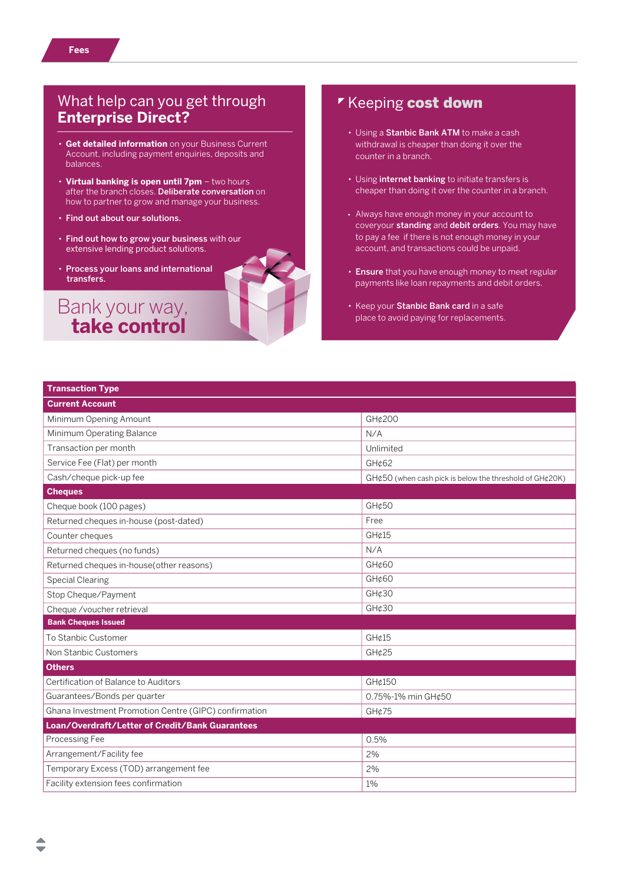- **Get detailed information** on your Business Current Account, including payment enquiries, deposits and balances.
- **Virtual banking is open until 7pm**  two hours after the branch closes. Deliberate conversation on how to partner to grow and manage your business.
- Find out about our solutions.
- Find out how to grow your business with our extensive lending product solutions.
- Process your loans and international transfers.

Bank your way,  **take control**

# Keeping cost down

- Using a Stanbic Bank ATM to make a cash withdrawal is cheaper than doing it over the counter in a branch.
- Using internet banking to initiate transfers is cheaper than doing it over the counter in a branch.
- Always have enough money in your account to coveryour standing and debit orders. You may have to pay a fee if there is not enough money in your account, and transactions could be unpaid.
- Ensure that you have enough money to meet regular payments like loan repayments and debit orders.
- Keep your Stanbic Bank card in a safe place to avoid paying for replacements.

| <b>Transaction Type</b>                               |                                                              |
|-------------------------------------------------------|--------------------------------------------------------------|
| <b>Current Account</b>                                |                                                              |
| Minimum Opening Amount                                | GH¢200                                                       |
| Minimum Operating Balance                             | N/A                                                          |
| Transaction per month                                 | Unlimited                                                    |
| Service Fee (Flat) per month                          | GH¢62                                                        |
| Cash/cheque pick-up fee                               | $GH¢50$ (when cash pick is below the threshold of $GH¢20K$ ) |
| <b>Cheques</b>                                        |                                                              |
| Cheque book (100 pages)                               | GH¢50                                                        |
| Returned cheques in-house (post-dated)                | Free                                                         |
| Counter cheques                                       | GHc15                                                        |
| Returned cheques (no funds)                           | N/A                                                          |
| Returned cheques in-house(other reasons)              | GH¢60                                                        |
| <b>Special Clearing</b>                               | GH¢60                                                        |
| Stop Cheque/Payment                                   | GH¢30                                                        |
| Cheque /voucher retrieval                             | GH¢30                                                        |
| <b>Bank Cheques Issued</b>                            |                                                              |
| To Stanbic Customer                                   | GHc15                                                        |
| Non Stanbic Customers                                 | GHc25                                                        |
| <b>Others</b>                                         |                                                              |
| Certification of Balance to Auditors                  | GH¢150                                                       |
| Guarantees/Bonds per quarter                          | 0.75%-1% min GH¢50                                           |
| Ghana Investment Promotion Centre (GIPC) confirmation | GH¢75                                                        |
| Loan/Overdraft/Letter of Credit/Bank Guarantees       |                                                              |
| Processing Fee                                        | 0.5%                                                         |
| Arrangement/Facility fee                              | 2%                                                           |
| Temporary Excess (TOD) arrangement fee                | 2%                                                           |
| Facility extension fees confirmation                  | 1%                                                           |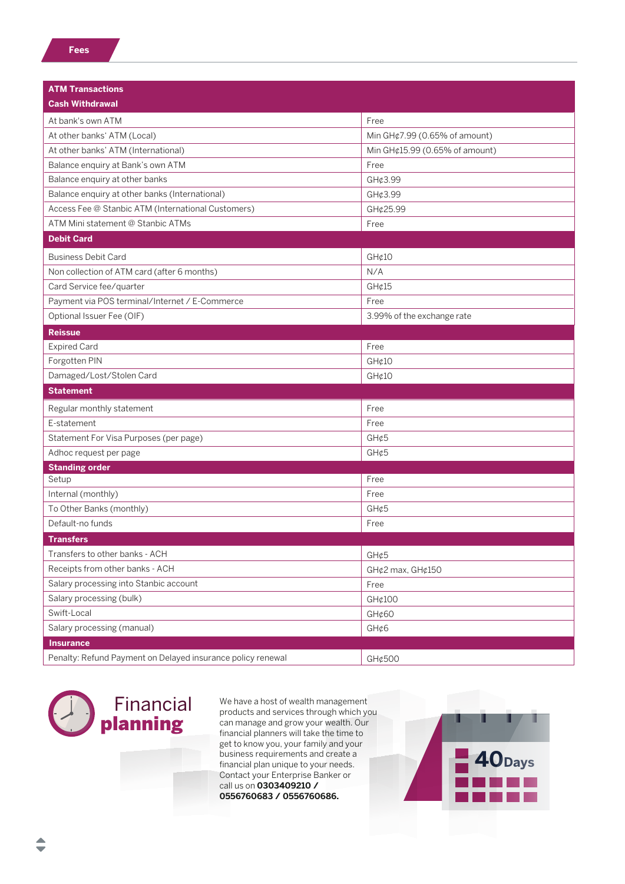| <b>ATM Transactions</b>                                     |                                |  |
|-------------------------------------------------------------|--------------------------------|--|
| <b>Cash Withdrawal</b>                                      |                                |  |
| At bank's own ATM                                           | Free                           |  |
| At other banks' ATM (Local)                                 | Min GH¢7.99 (0.65% of amount)  |  |
| At other banks' ATM (International)                         | Min GH¢15.99 (0.65% of amount) |  |
| Balance enquiry at Bank's own ATM                           | Free                           |  |
| Balance enquiry at other banks                              | GH¢3.99                        |  |
| Balance enquiry at other banks (International)              | GH¢3.99                        |  |
| Access Fee @ Stanbic ATM (International Customers)          | GH¢25.99                       |  |
| ATM Mini statement @ Stanbic ATMs                           | Free                           |  |
| <b>Debit Card</b>                                           |                                |  |
| <b>Business Debit Card</b>                                  | GH¢10                          |  |
| Non collection of ATM card (after 6 months)                 | N/A                            |  |
| Card Service fee/quarter                                    | GH¢15                          |  |
| Payment via POS terminal/Internet / E-Commerce              | Free                           |  |
| Optional Issuer Fee (OIF)                                   | 3.99% of the exchange rate     |  |
| <b>Reissue</b>                                              |                                |  |
| <b>Expired Card</b>                                         | Free                           |  |
| Forgotten PIN                                               | GH¢10                          |  |
| Damaged/Lost/Stolen Card                                    | GH¢10                          |  |
| <b>Statement</b>                                            |                                |  |
|                                                             |                                |  |
| Regular monthly statement                                   | Free                           |  |
| E-statement                                                 | Free                           |  |
| Statement For Visa Purposes (per page)                      | GH¢5                           |  |
| Adhoc request per page<br>GH¢5                              |                                |  |
| <b>Standing order</b><br>Setup                              | Free                           |  |
| Internal (monthly)                                          | Free                           |  |
| To Other Banks (monthly)                                    | GH¢5                           |  |
| Default-no funds                                            | Free                           |  |
| <b>Transfers</b>                                            |                                |  |
| Transfers to other banks - ACH                              | GH¢5                           |  |
| Receipts from other banks - ACH                             | GH¢2 max, GH¢150               |  |
| Salary processing into Stanbic account                      | Free                           |  |
| Salary processing (bulk)                                    | GH¢100                         |  |
| Swift-Local                                                 | GH¢60                          |  |
| Salary processing (manual)<br>GH¢6                          |                                |  |
| <b>Insurance</b>                                            |                                |  |
| Penalty: Refund Payment on Delayed insurance policy renewal | GH¢500                         |  |



We have a host of wealth management products and services through which you can manage and grow your wealth. Our financial planners will take the time to get to know you, your family and your business requirements and create a financial plan unique to your needs. Contact your Enterprise Banker or call us on **0303409210 / 0556760683 / 0556760686.**